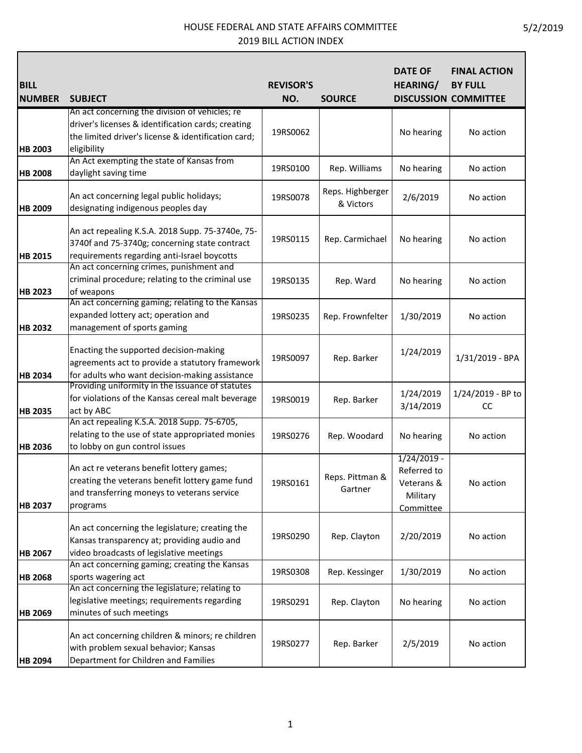Г

| <b>BILL</b><br><b>NUMBER</b> | <b>SUBJECT</b>                                                                                                                                                                               | <b>REVISOR'S</b><br>NO. | <b>SOURCE</b>                 | <b>DATE OF</b><br><b>HEARING/</b>                                   | <b>FINAL ACTION</b><br><b>BY FULL</b><br><b>DISCUSSION COMMITTEE</b> |
|------------------------------|----------------------------------------------------------------------------------------------------------------------------------------------------------------------------------------------|-------------------------|-------------------------------|---------------------------------------------------------------------|----------------------------------------------------------------------|
| <b>HB 2003</b>               | An act concerning the division of vehicles; re<br>driver's licenses & identification cards; creating<br>the limited driver's license & identification card;<br>eligibility                   | 19RS0062                |                               | No hearing                                                          | No action                                                            |
| <b>HB 2008</b>               | An Act exempting the state of Kansas from<br>daylight saving time                                                                                                                            | 19RS0100                | Rep. Williams                 | No hearing                                                          | No action                                                            |
| <b>HB 2009</b>               | An act concerning legal public holidays;<br>designating indigenous peoples day                                                                                                               | 19RS0078                | Reps. Highberger<br>& Victors | 2/6/2019                                                            | No action                                                            |
| <b>HB 2015</b>               | An act repealing K.S.A. 2018 Supp. 75-3740e, 75-<br>3740f and 75-3740g; concerning state contract<br>requirements regarding anti-Israel boycotts<br>An act concerning crimes, punishment and | 19RS0115                | Rep. Carmichael               | No hearing                                                          | No action                                                            |
| <b>HB 2023</b>               | criminal procedure; relating to the criminal use<br>of weapons                                                                                                                               | 19RS0135                | Rep. Ward                     | No hearing                                                          | No action                                                            |
| <b>HB 2032</b>               | An act concerning gaming; relating to the Kansas<br>expanded lottery act; operation and<br>management of sports gaming                                                                       | 19RS0235                | Rep. Frownfelter              | 1/30/2019                                                           | No action                                                            |
| <b>HB 2034</b>               | Enacting the supported decision-making<br>agreements act to provide a statutory framework<br>for adults who want decision-making assistance                                                  | 19RS0097                | Rep. Barker                   | 1/24/2019                                                           | 1/31/2019 - BPA                                                      |
| <b>HB 2035</b>               | Providing uniformity in the issuance of statutes<br>for violations of the Kansas cereal malt beverage<br>act by ABC                                                                          | 19RS0019                | Rep. Barker                   | 1/24/2019<br>3/14/2019                                              | 1/24/2019 - BP to<br>CC                                              |
| <b>HB 2036</b>               | An act repealing K.S.A. 2018 Supp. 75-6705,<br>relating to the use of state appropriated monies<br>to lobby on gun control issues                                                            | 19RS0276                | Rep. Woodard                  | No hearing                                                          | No action                                                            |
| <b>HB 2037</b>               | An act re veterans benefit lottery games;<br>creating the veterans benefit lottery game fund<br>and transferring moneys to veterans service<br>programs                                      | 19RS0161                | Reps. Pittman &<br>Gartner    | $1/24/2019 -$<br>Referred to<br>Veterans &<br>Military<br>Committee | No action                                                            |
| <b>HB 2067</b>               | An act concerning the legislature; creating the<br>Kansas transparency at; providing audio and<br>video broadcasts of legislative meetings                                                   | 19RS0290                | Rep. Clayton                  | 2/20/2019                                                           | No action                                                            |
| <b>HB 2068</b>               | An act concerning gaming; creating the Kansas<br>sports wagering act                                                                                                                         | 19RS0308                | Rep. Kessinger                | 1/30/2019                                                           | No action                                                            |
| <b>HB 2069</b>               | An act concerning the legislature; relating to<br>legislative meetings; requirements regarding<br>minutes of such meetings                                                                   | 19RS0291                | Rep. Clayton                  | No hearing                                                          | No action                                                            |
| <b>HB 2094</b>               | An act concerning children & minors; re children<br>with problem sexual behavior; Kansas<br>Department for Children and Families                                                             | 19RS0277                | Rep. Barker                   | 2/5/2019                                                            | No action                                                            |

┑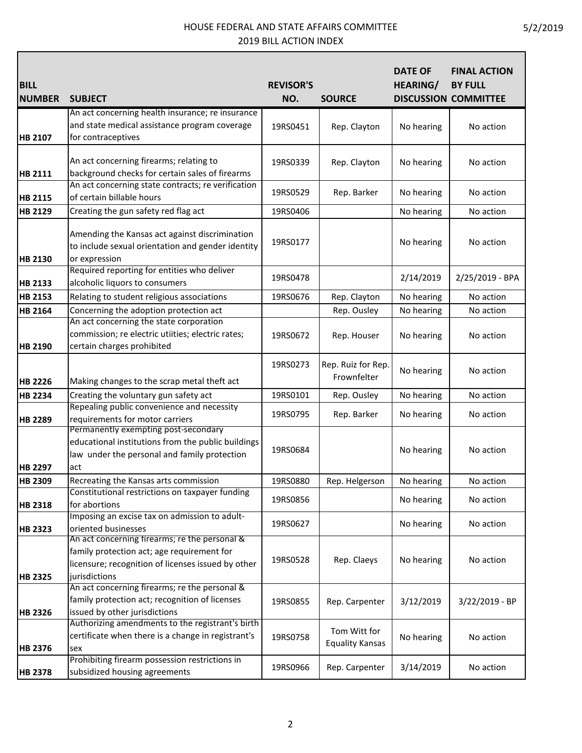Г

| <b>BILL</b>    |                                                                                                                                                                    | <b>REVISOR'S</b> |                                        | <b>DATE OF</b><br><b>HEARING/</b> | <b>FINAL ACTION</b><br><b>BY FULL</b> |
|----------------|--------------------------------------------------------------------------------------------------------------------------------------------------------------------|------------------|----------------------------------------|-----------------------------------|---------------------------------------|
| <b>NUMBER</b>  | <b>SUBJECT</b>                                                                                                                                                     | NO.              | <b>SOURCE</b>                          |                                   | <b>DISCUSSION COMMITTEE</b>           |
| HB 2107        | An act concerning health insurance; re insurance<br>and state medical assistance program coverage<br>for contraceptives                                            | 19RS0451         | Rep. Clayton                           | No hearing                        | No action                             |
| <b>HB 2111</b> | An act concerning firearms; relating to<br>background checks for certain sales of firearms                                                                         | 19RS0339         | Rep. Clayton                           | No hearing                        | No action                             |
| <b>HB 2115</b> | An act concerning state contracts; re verification<br>of certain billable hours                                                                                    | 19RS0529         | Rep. Barker                            | No hearing                        | No action                             |
| <b>HB 2129</b> | Creating the gun safety red flag act                                                                                                                               | 19RS0406         |                                        | No hearing                        | No action                             |
| <b>HB 2130</b> | Amending the Kansas act against discrimination<br>to include sexual orientation and gender identity<br>or expression                                               | 19RS0177         |                                        | No hearing                        | No action                             |
| <b>HB 2133</b> | Required reporting for entities who deliver<br>alcoholic liquors to consumers                                                                                      | 19RS0478         |                                        | 2/14/2019                         | 2/25/2019 - BPA                       |
| <b>HB 2153</b> | Relating to student religious associations                                                                                                                         | 19RS0676         | Rep. Clayton                           | No hearing                        | No action                             |
| <b>HB 2164</b> | Concerning the adoption protection act                                                                                                                             |                  | Rep. Ousley                            | No hearing                        | No action                             |
| <b>HB 2190</b> | An act concerning the state corporation<br>commission; re electric utiities; electric rates;<br>certain charges prohibited                                         | 19RS0672         | Rep. Houser                            | No hearing                        | No action                             |
| <b>HB 2226</b> | Making changes to the scrap metal theft act                                                                                                                        | 19RS0273         | Rep. Ruiz for Rep.<br>Frownfelter      | No hearing                        | No action                             |
| <b>HB 2234</b> | Creating the voluntary gun safety act                                                                                                                              | 19RS0101         | Rep. Ousley                            | No hearing                        | No action                             |
| <b>HB 2289</b> | Repealing public convenience and necessity<br>requirements for motor carriers                                                                                      | 19RS0795         | Rep. Barker                            | No hearing                        | No action                             |
| <b>HB 2297</b> | Permanently exempting post-secondary<br>educational institutions from the public buildings<br>law under the personal and family protection<br>act                  | 19RS0684         |                                        | No hearing                        | No action                             |
| <b>HB 2309</b> | Recreating the Kansas arts commission                                                                                                                              | 19RS0880         | Rep. Helgerson                         | No hearing                        | No action                             |
| <b>HB 2318</b> | Constitutional restrictions on taxpayer funding<br>for abortions                                                                                                   | 19RS0856         |                                        | No hearing                        | No action                             |
| <b>HB 2323</b> | Imposing an excise tax on admission to adult-<br>oriented businesses                                                                                               | 19RS0627         |                                        | No hearing                        | No action                             |
| <b>HB 2325</b> | An act concerning firearms; re the personal &<br>family protection act; age requirement for<br>licensure; recognition of licenses issued by other<br>jurisdictions | 19RS0528         | Rep. Claeys                            | No hearing                        | No action                             |
| <b>HB 2326</b> | An act concerning firearms; re the personal &<br>family protection act; recognition of licenses<br>issued by other jurisdictions                                   | 19RS0855         | Rep. Carpenter                         | 3/12/2019                         | $3/22/2019 - BP$                      |
| <b>HB 2376</b> | Authorizing amendments to the registrant's birth<br>certificate when there is a change in registrant's<br>sex                                                      | 19RS0758         | Tom Witt for<br><b>Equality Kansas</b> | No hearing                        | No action                             |
| <b>HB 2378</b> | Prohibiting firearm possession restrictions in<br>subsidized housing agreements                                                                                    | 19RS0966         | Rep. Carpenter                         | 3/14/2019                         | No action                             |

┑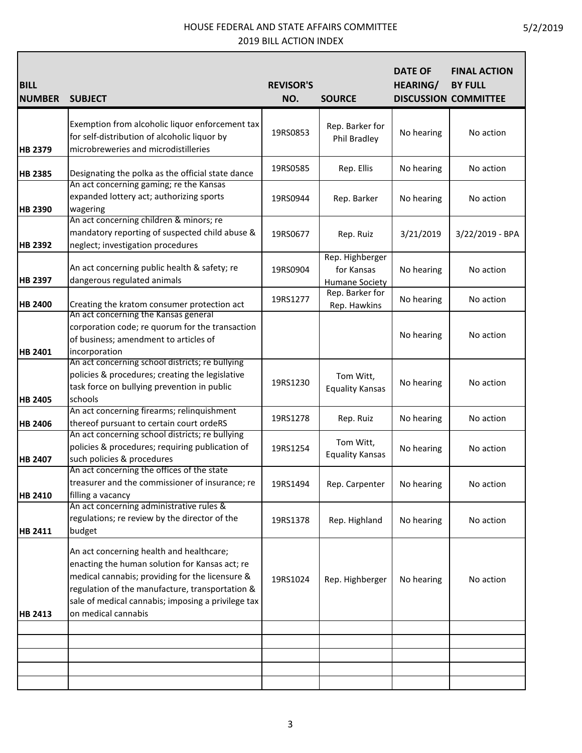Г

| <b>BILL</b><br><b>NUMBER</b> | <b>SUBJECT</b>                                                                                                                                                                                                                                                                | <b>REVISOR'S</b><br>NO. | <b>SOURCE</b>                                          | <b>DATE OF</b><br><b>HEARING/</b> | <b>FINAL ACTION</b><br><b>BY FULL</b><br><b>DISCUSSION COMMITTEE</b> |
|------------------------------|-------------------------------------------------------------------------------------------------------------------------------------------------------------------------------------------------------------------------------------------------------------------------------|-------------------------|--------------------------------------------------------|-----------------------------------|----------------------------------------------------------------------|
| <b>HB 2379</b>               | Exemption from alcoholic liquor enforcement tax<br>for self-distribution of alcoholic liquor by<br>microbreweries and microdistilleries                                                                                                                                       | 19RS0853                | Rep. Barker for<br>Phil Bradley                        | No hearing                        | No action                                                            |
| <b>HB 2385</b>               | Designating the polka as the official state dance                                                                                                                                                                                                                             | 19RS0585                | Rep. Ellis                                             | No hearing                        | No action                                                            |
| <b>HB 2390</b>               | An act concerning gaming; re the Kansas<br>expanded lottery act; authorizing sports<br>wagering                                                                                                                                                                               | 19RS0944                | Rep. Barker                                            | No hearing                        | No action                                                            |
| <b>HB 2392</b>               | An act concerning children & minors; re<br>mandatory reporting of suspected child abuse &<br>neglect; investigation procedures                                                                                                                                                | 19RS0677                | Rep. Ruiz                                              | 3/21/2019                         | 3/22/2019 - BPA                                                      |
| <b>HB 2397</b>               | An act concerning public health & safety; re<br>dangerous regulated animals                                                                                                                                                                                                   | 19RS0904                | Rep. Highberger<br>for Kansas<br><b>Humane Society</b> | No hearing                        | No action                                                            |
| <b>HB 2400</b>               | Creating the kratom consumer protection act                                                                                                                                                                                                                                   | 19RS1277                | Rep. Barker for<br>Rep. Hawkins                        | No hearing                        | No action                                                            |
| <b>HB 2401</b>               | An act concerning the Kansas general<br>corporation code; re quorum for the transaction<br>of business; amendment to articles of<br>incorporation                                                                                                                             |                         |                                                        | No hearing                        | No action                                                            |
| <b>HB 2405</b>               | An act concerning school districts; re bullying<br>policies & procedures; creating the legislative<br>task force on bullying prevention in public<br>schools                                                                                                                  | 19RS1230                | Tom Witt,<br><b>Equality Kansas</b>                    | No hearing                        | No action                                                            |
| <b>HB 2406</b>               | An act concerning firearms; relinquishment<br>thereof pursuant to certain court ordeRS                                                                                                                                                                                        | 19RS1278                | Rep. Ruiz                                              | No hearing                        | No action                                                            |
| <b>HB 2407</b>               | An act concerning school districts; re bullying<br>policies & procedures; requiring publication of<br>such policies & procedures                                                                                                                                              | 19RS1254                | Tom Witt,<br><b>Equality Kansas</b>                    | No hearing                        | No action                                                            |
| HB 2410                      | An act concerning the offices of the state<br>treasurer and the commissioner of insurance; re<br>filling a vacancy                                                                                                                                                            | 19RS1494                | Rep. Carpenter                                         | No hearing                        | No action                                                            |
| HB 2411                      | An act concerning administrative rules &<br>regulations; re review by the director of the<br>budget                                                                                                                                                                           | 19RS1378                | Rep. Highland                                          | No hearing                        | No action                                                            |
| <b>HB 2413</b>               | An act concerning health and healthcare;<br>enacting the human solution for Kansas act; re<br>medical cannabis; providing for the licensure &<br>regulation of the manufacture, transportation &<br>sale of medical cannabis; imposing a privilege tax<br>on medical cannabis | 19RS1024                | Rep. Highberger                                        | No hearing                        | No action                                                            |
|                              |                                                                                                                                                                                                                                                                               |                         |                                                        |                                   |                                                                      |
|                              |                                                                                                                                                                                                                                                                               |                         |                                                        |                                   |                                                                      |

┑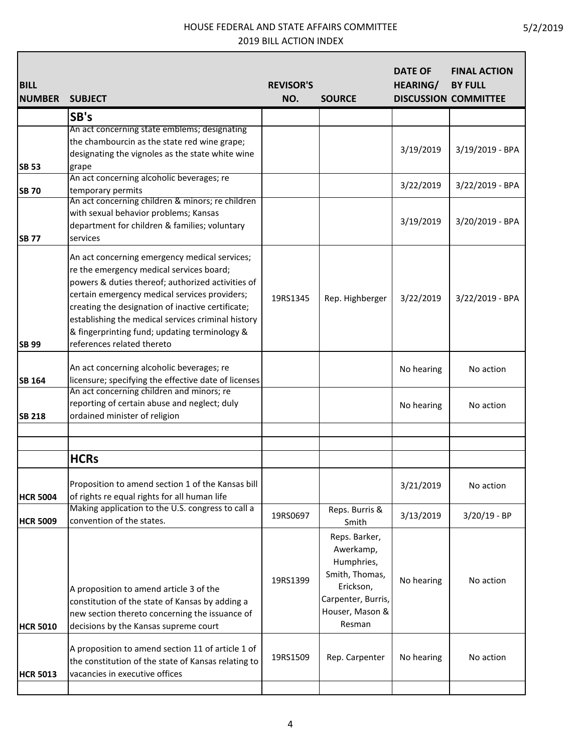| <b>BILL</b><br><b>NUMBER</b> | <b>SUBJECT</b>                                       | <b>REVISOR'S</b><br>NO. | <b>SOURCE</b>      | <b>DATE OF</b><br><b>HEARING/</b> | <b>FINAL ACTION</b><br><b>BY FULL</b><br><b>DISCUSSION COMMITTEE</b> |
|------------------------------|------------------------------------------------------|-------------------------|--------------------|-----------------------------------|----------------------------------------------------------------------|
|                              | SB's                                                 |                         |                    |                                   |                                                                      |
|                              | An act concerning state emblems; designating         |                         |                    |                                   |                                                                      |
|                              | the chambourcin as the state red wine grape;         |                         |                    |                                   |                                                                      |
|                              | designating the vignoles as the state white wine     |                         |                    | 3/19/2019                         | 3/19/2019 - BPA                                                      |
| <b>SB 53</b>                 | grape                                                |                         |                    |                                   |                                                                      |
|                              | An act concerning alcoholic beverages; re            |                         |                    |                                   |                                                                      |
| <b>SB 70</b>                 | temporary permits                                    |                         |                    | 3/22/2019                         | 3/22/2019 - BPA                                                      |
|                              | An act concerning children & minors; re children     |                         |                    |                                   |                                                                      |
|                              | with sexual behavior problems; Kansas                |                         |                    |                                   |                                                                      |
|                              | department for children & families; voluntary        |                         |                    | 3/19/2019                         | 3/20/2019 - BPA                                                      |
| <b>SB 77</b>                 | services                                             |                         |                    |                                   |                                                                      |
|                              | An act concerning emergency medical services;        |                         |                    |                                   |                                                                      |
|                              | re the emergency medical services board;             |                         |                    |                                   |                                                                      |
|                              | powers & duties thereof; authorized activities of    |                         |                    |                                   |                                                                      |
|                              | certain emergency medical services providers;        | 19RS1345                | Rep. Highberger    | 3/22/2019                         | 3/22/2019 - BPA                                                      |
|                              | creating the designation of inactive certificate;    |                         |                    |                                   |                                                                      |
|                              | establishing the medical services criminal history   |                         |                    |                                   |                                                                      |
|                              | & fingerprinting fund; updating terminology &        |                         |                    |                                   |                                                                      |
| <b>SB 99</b>                 | references related thereto                           |                         |                    |                                   |                                                                      |
|                              | An act concerning alcoholic beverages; re            |                         |                    | No hearing                        | No action                                                            |
| <b>SB 164</b>                | licensure; specifying the effective date of licenses |                         |                    |                                   |                                                                      |
|                              | An act concerning children and minors; re            |                         |                    |                                   |                                                                      |
|                              | reporting of certain abuse and neglect; duly         |                         |                    | No hearing                        | No action                                                            |
| <b>SB 218</b>                | ordained minister of religion                        |                         |                    |                                   |                                                                      |
|                              |                                                      |                         |                    |                                   |                                                                      |
|                              | <b>HCRs</b>                                          |                         |                    |                                   |                                                                      |
|                              | Proposition to amend section 1 of the Kansas bill    |                         |                    | 3/21/2019                         | No action                                                            |
| <b>HCR 5004</b>              | of rights re equal rights for all human life         |                         |                    |                                   |                                                                      |
|                              | Making application to the U.S. congress to call a    |                         | Reps. Burris &     |                                   |                                                                      |
| <b>HCR 5009</b>              | convention of the states.                            | 19RS0697                | Smith              | 3/13/2019                         | $3/20/19 - BP$                                                       |
|                              |                                                      |                         | Reps. Barker,      |                                   |                                                                      |
|                              |                                                      |                         | Awerkamp,          |                                   |                                                                      |
|                              |                                                      |                         | Humphries,         |                                   |                                                                      |
|                              |                                                      |                         | Smith, Thomas,     |                                   |                                                                      |
|                              | A proposition to amend article 3 of the              | 19RS1399                | Erickson,          | No hearing                        | No action                                                            |
|                              | constitution of the state of Kansas by adding a      |                         | Carpenter, Burris, |                                   |                                                                      |
|                              | new section thereto concerning the issuance of       |                         | Houser, Mason &    |                                   |                                                                      |
| <b>HCR 5010</b>              | decisions by the Kansas supreme court                |                         | Resman             |                                   |                                                                      |
|                              |                                                      |                         |                    |                                   |                                                                      |
|                              | A proposition to amend section 11 of article 1 of    |                         |                    |                                   |                                                                      |
|                              | the constitution of the state of Kansas relating to  | 19RS1509                | Rep. Carpenter     | No hearing                        | No action                                                            |
| <b>HCR 5013</b>              | vacancies in executive offices                       |                         |                    |                                   |                                                                      |
|                              |                                                      |                         |                    |                                   |                                                                      |

٦